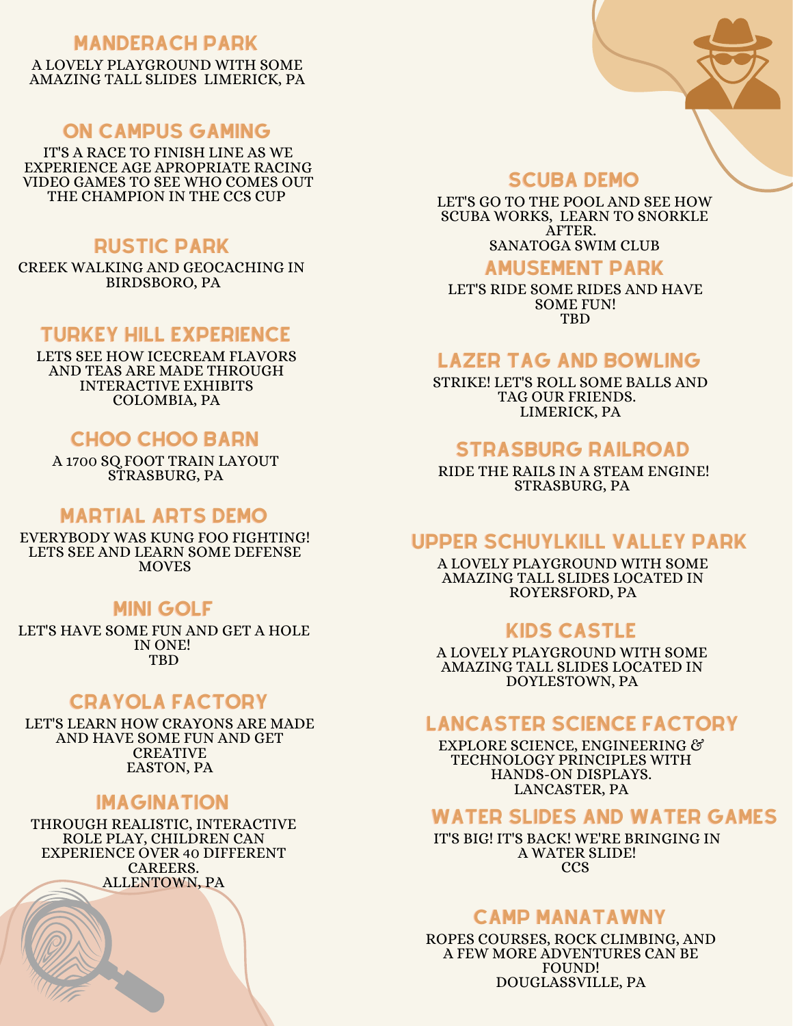### MANDERACH PARK

A LOVELY PLAYGROUND WITH SOME AMAZING TALL SLIDES LIMERICK, PA

# ON CAMPUS GAMING

IT'S A RACE TO FINISH LINE AS WE EXPERIENCE AGE APROPRIATE RACING VIDEO GAMES TO SEE WHO COMES OUT THE CHAMPION IN THE CCS CUP

### RUSTIC PARK

CREEK WALKING AND GEOCACHING IN BIRDSBORO, PA

## TURKEY HILL EXPERIENCE

LETS SEE HOW ICECREAM FLAVORS AND TEAS ARE MADE THROUGH INTERACTIVE EXHIBITS COLOMBIA, PA

# CHOO CHOO BARN

A 1700 SQ FOOT TRAIN LAYOUT STRASBURG, PA

## MARTIAL ARTS DEMO

EVERYBODY WAS KUNG FOO FIGHTING! LETS SEE AND LEARN SOME DEFENSE **MOVES** 

## MINI GOLF

LET'S HAVE SOME FUN AND GET A HOLE IN ONE! TBD

# CRAYOLA FACTORY

LET'S LEARN HOW CRAYONS ARE MADE AND HAVE SOME FUN AND GET **CREATIVE** EASTON, PA

#### IMAGINATION

THROUGH REALISTIC, INTERACTIVE ROLE PLAY, CHILDREN CAN EXPERIENCE OVER 40 DIFFERENT CAREERS. ALLENTOWN, PA

#### SCUBA DEMO

LET'S GO TO THE POOL AND SEE HOW SCUBA WORKS, LEARN TO SNORKLE AFTER. SANATOGA SWIM CLUB

#### AMUSEMENT PARK

LET'S RIDE SOME RIDES AND HAVE SOME FUN! **TRD** 

### LAZER TAG AND BOWLING

STRIKE! LET'S ROLL SOME BALLS AND TAG OUR FRIENDS. LIMERICK, PA

## STRASBURG RAILROAD

RIDE THE RAILS IN A STEAM ENGINE! STRASBURG, PA

# UPPER SCHUYLKILL VALLEY PARK

A LOVELY PLAYGROUND WITH SOME AMAZING TALL SLIDES LOCATED IN ROYERSFORD, PA

## KIDS CASTLE

A LOVELY PLAYGROUND WITH SOME AMAZING TALL SLIDES LOCATED IN DOYLESTOWN, PA

### LANCASTER SCIENCE FACTORY

EXPLORE SCIENCE, ENGINEERING & TECHNOLOGY PRINCIPLES WITH HANDS-ON DISPLAYS. LANCASTER, PA

### WATER SLIDES AND WATER GAMES

IT'S BIG! IT'S BACK! WE'RE BRINGING IN A WATER SLIDE! **CCS** 

## CAMP MANATAWNY

ROPES COURSES, ROCK CLIMBING, AND A FEW MORE ADVENTURES CAN BE FOUND! DOUGLASSVILLE, PA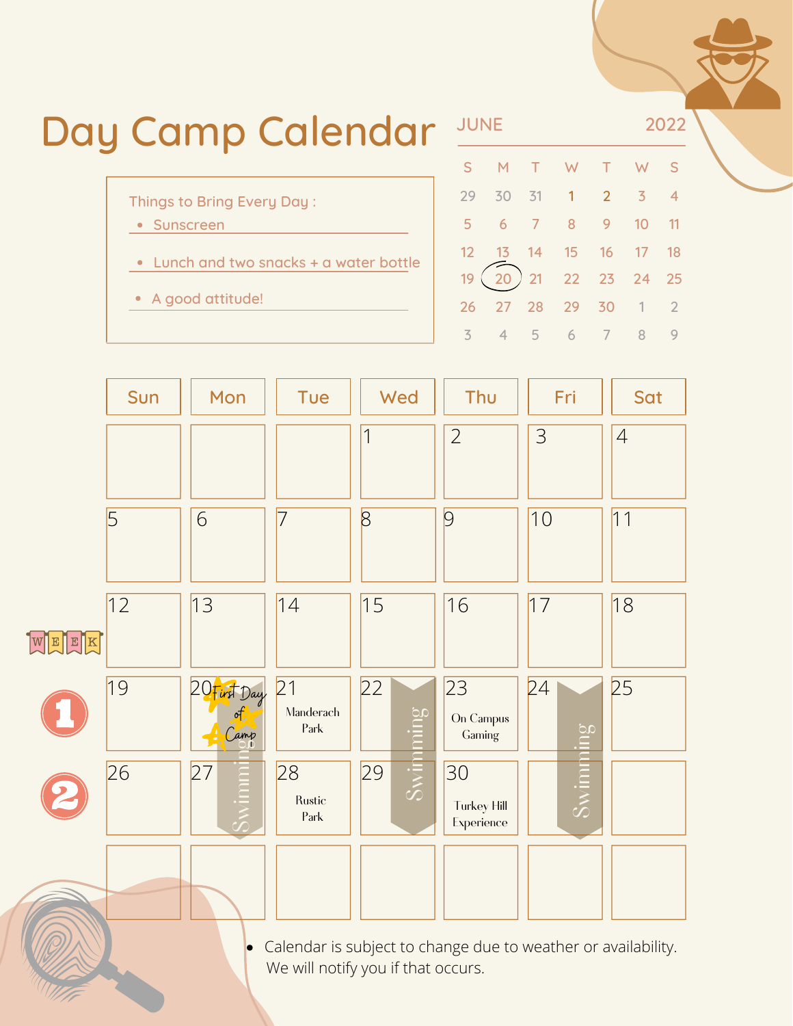| Day Camp Calendar |                                                                                                            | <b>JUNE</b> |      |      |     | 2022        |                                                             |             |  |  |
|-------------------|------------------------------------------------------------------------------------------------------------|-------------|------|------|-----|-------------|-------------------------------------------------------------|-------------|--|--|
|                   |                                                                                                            |             |      |      |     |             |                                                             |             |  |  |
|                   | 29                                                                                                         | 30          | 31   |      |     |             |                                                             |             |  |  |
|                   |                                                                                                            |             |      |      |     |             |                                                             |             |  |  |
|                   |                                                                                                            |             |      |      |     |             | -18                                                         |             |  |  |
|                   | 19                                                                                                         |             | 21   |      |     |             |                                                             |             |  |  |
|                   |                                                                                                            |             | -28. | - 29 | -30 |             |                                                             |             |  |  |
|                   | Things to Bring Every Day:<br>• Sunscreen<br>• Lunch and two snacks + a water bottle<br>• A good attitude! |             |      |      |     | $1 \quad 2$ | M T W T W<br>$\overline{3}$<br>6 7 8 9 10<br>13 14 15 16 17 | 22 23 24 25 |  |  |

3

 $\overline{A}$ 

5

6

7

8

9



Calendar is subject to change due to weather or availability.  $\bullet$ We will notify you if that occurs.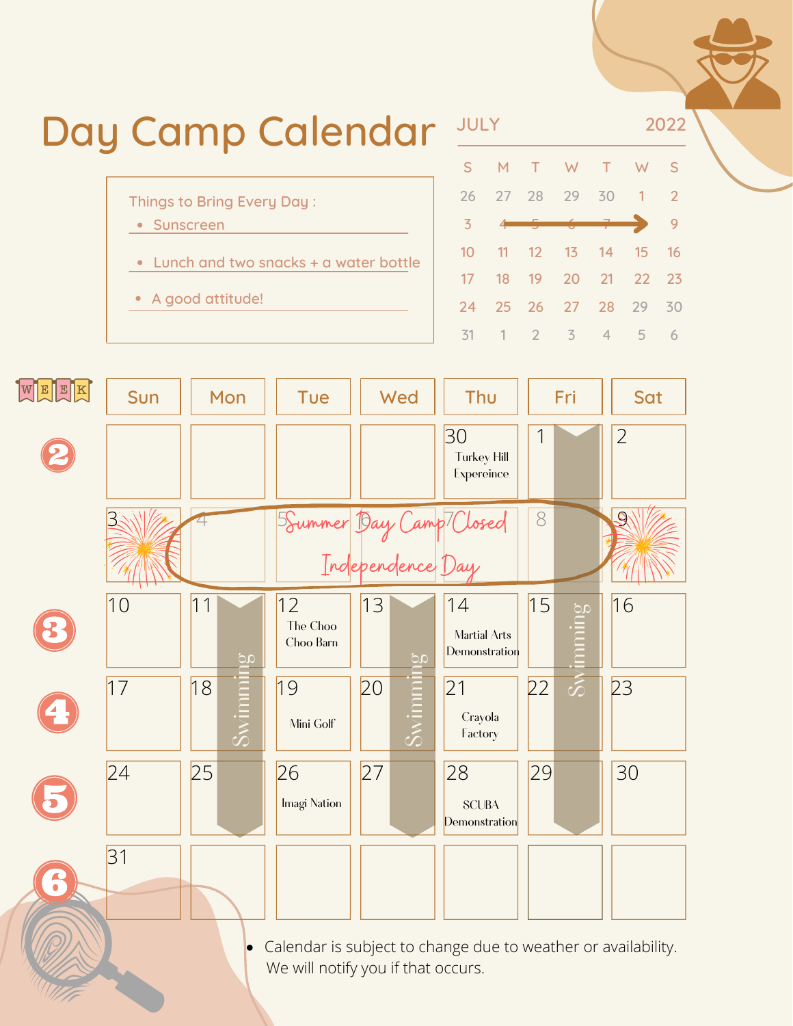

Calendar is subject to change due to weather or availability.  $\bullet$ We will notify you if that occurs.